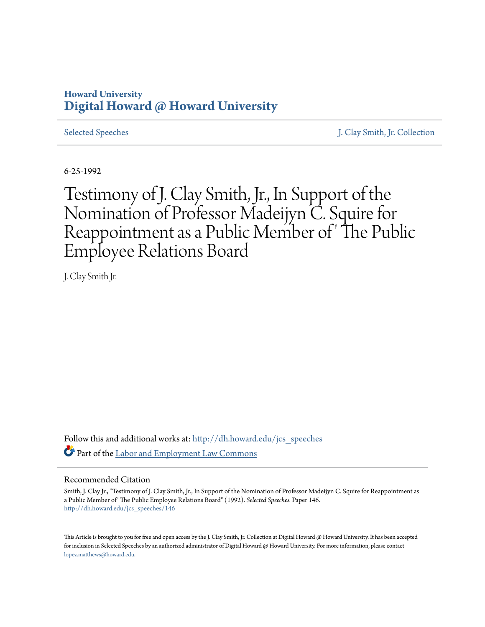## **Howard University [Digital Howard @ Howard University](http://dh.howard.edu?utm_source=dh.howard.edu%2Fjcs_speeches%2F146&utm_medium=PDF&utm_campaign=PDFCoverPages)**

[Selected Speeches](http://dh.howard.edu/jcs_speeches?utm_source=dh.howard.edu%2Fjcs_speeches%2F146&utm_medium=PDF&utm_campaign=PDFCoverPages) [J. Clay Smith, Jr. Collection](http://dh.howard.edu/jcsmith?utm_source=dh.howard.edu%2Fjcs_speeches%2F146&utm_medium=PDF&utm_campaign=PDFCoverPages)

6-25-1992

Testimony of J. Clay Smith, Jr., In Support of the Nomination of Professor Madeijyn C. Squire for Reappointment as a Public Member of ' The Public Employee Relations Board

J. Clay Smith Jr.

Follow this and additional works at: [http://dh.howard.edu/jcs\\_speeches](http://dh.howard.edu/jcs_speeches?utm_source=dh.howard.edu%2Fjcs_speeches%2F146&utm_medium=PDF&utm_campaign=PDFCoverPages) Part of the [Labor and Employment Law Commons](http://network.bepress.com/hgg/discipline/909?utm_source=dh.howard.edu%2Fjcs_speeches%2F146&utm_medium=PDF&utm_campaign=PDFCoverPages)

## Recommended Citation

Smith, J. Clay Jr., "Testimony of J. Clay Smith, Jr., In Support of the Nomination of Professor Madeijyn C. Squire for Reappointment as a Public Member of' The Public Employee Relations Board" (1992). *Selected Speeches.* Paper 146. [http://dh.howard.edu/jcs\\_speeches/146](http://dh.howard.edu/jcs_speeches/146?utm_source=dh.howard.edu%2Fjcs_speeches%2F146&utm_medium=PDF&utm_campaign=PDFCoverPages)

This Article is brought to you for free and open access by the J. Clay Smith, Jr. Collection at Digital Howard @ Howard University. It has been accepted for inclusion in Selected Speeches by an authorized administrator of Digital Howard @ Howard University. For more information, please contact [lopez.matthews@howard.edu.](mailto:lopez.matthews@howard.edu)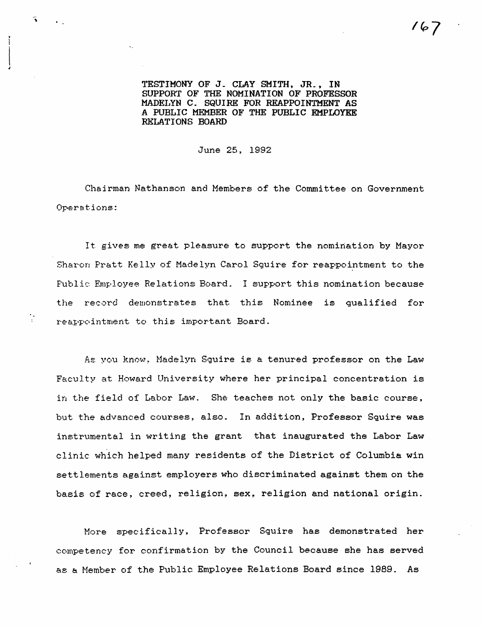TESTIMONY OF J\_ CLAY SMITH, JR\_, IN SUPPORT OF THE NOMINATION OF PROFESSOR MADEIJYN C. SQUIRE FOR REAPPOINTMENT AS A PUBLIC MEMBER OF' THE PUBLIC EMPLOYEE RELATIONS BOARD

June 25, 1992

Chairman Nathanson and Members of the Committee on Government Operations:

It gives me great pleasure to support the nomination by Mayor Sharon Pratt Kelly of Madelyn Carol Squire for reappointment to the Public Employee Relations Board. I support this nomination because the record demonstrates that this Nominee is qualified for reappointment to this important Board.

As you know, Madelyn Squire is a tenured professor on the Law Faculty at Howard University where her principal concentration is in the field of Labor Law. She teaches not only the basic course, but the advanced courses, also. In addition, Professor Squire was instrumental in writing the grant that inaugurated the Labor Law clinic which helped many residents of the District of Columbia win settlements against employers who discriminated against them on the basis of race, creed, religion, sex, religion and national origin.

More specifically, Professor Squire has demonstrated her competency for confirmation by the Council because she has served as a Nember of the Public Employee Relations Board since 1989. As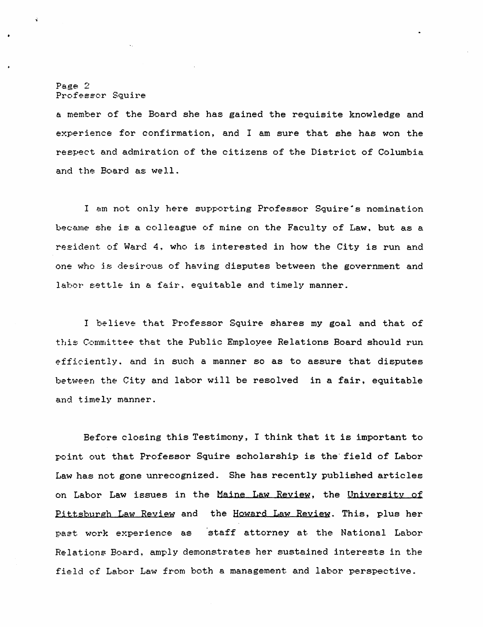## Page 2 Professor Squire

a member of the Board she has gained the requisite knowledge and experience for confirmation, and I am sure that she has won the respect and admiration of the citizens of the District of Columbia and the Board as well.

I am not only here supporting Professor Squire's nomination became she is a colleague of mine on the Faculty of Law, but as a resident of Ward 4, who is interested in how the City is run and one who is desirous of having disputes between the government and labor settle in a fair, equitable and timely manner.

I believe that Professor Squire shares my goal and that of this Committee that the Public Employee Relations Board should run efficiently. and in such a manner so as to assure that disputes between the City and labor will be resolved in a fair, equitable and timely manner.

Before closing this Testimony, I think that it is important to point out that Professor Squire scholarship is the' field of Labor Law has not gone unrecognized. She has recently published articles on Labor Law issues in the Maine Law Reyiew, the University of Pittsburgh Law Review and the Howard Law Review. This, plus her past. work experience as staff attorney at. the National Labor Relations Board, amply demonstrates her sustained interests in the field of Labor Law from both a management and labor perspective.